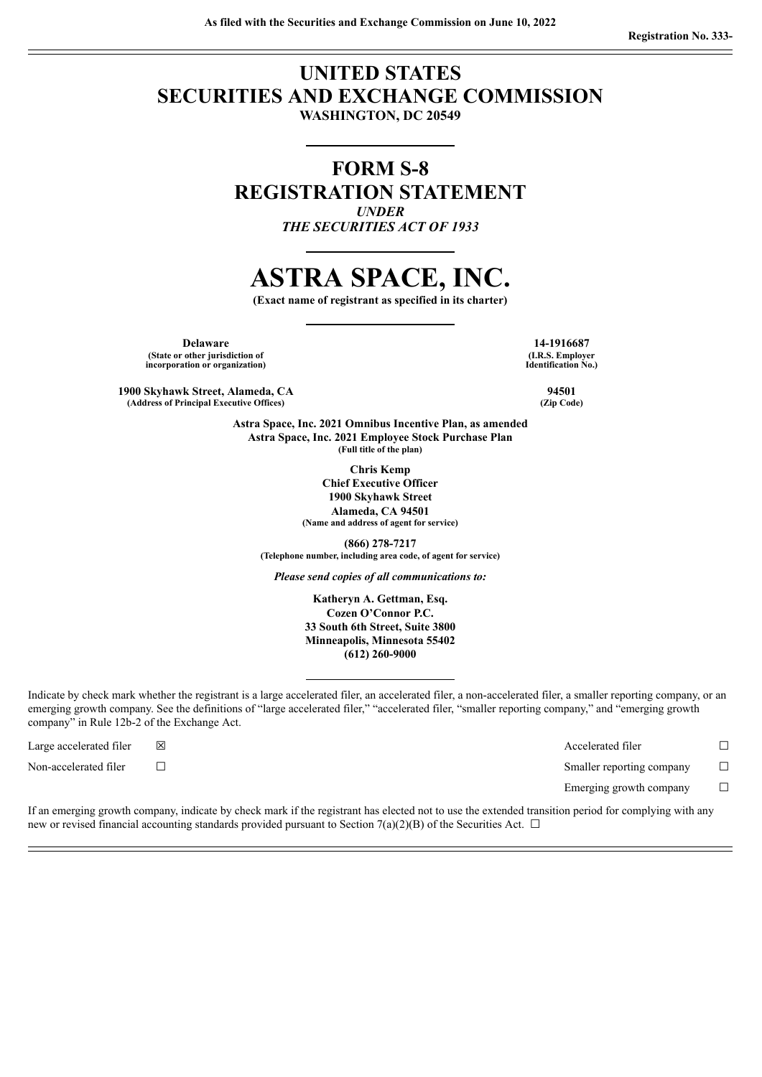## **UNITED STATES SECURITIES AND EXCHANGE COMMISSION WASHINGTON, DC 20549**

**FORM S-8 REGISTRATION STATEMENT** *UNDER THE SECURITIES ACT OF 1933*

# **ASTRA SPACE, INC.**

**(Exact name of registrant as specified in its charter)**

**Delaware 14-1916687 (State or other jurisdiction of incorporation or organization)**

**1900 Skyhawk Street, Alameda, CA 94501 (Address of Principal Executive Offices) (Zip Code)**

> **Astra Space, Inc. 2021 Omnibus Incentive Plan, as amended Astra Space, Inc. 2021 Employee Stock Purchase Plan (Full title of the plan)**

> > **Chris Kemp Chief Executive Officer 1900 Skyhawk Street Alameda, CA 94501 (Name and address of agent for service)**

**(866) 278-7217 (Telephone number, including area code, of agent for service)**

*Please send copies of all communications to:*

**Katheryn A. Gettman, Esq. Cozen O'Connor P.C. 33 South 6th Street, Suite 3800 Minneapolis, Minnesota 55402 (612) 260-9000**

Indicate by check mark whether the registrant is a large accelerated filer, an accelerated filer, a non-accelerated filer, a smaller reporting company, or an emerging growth company. See the definitions of "large accelerated filer," "accelerated filer, "smaller reporting company," and "emerging growth company" in Rule 12b-2 of the Exchange Act.

Large accelerated filer ☒ Accelerated filer ☐ Non-accelerated filer ☐ Smaller reporting company ☐ Emerging growth company  $\Box$ 

If an emerging growth company, indicate by check mark if the registrant has elected not to use the extended transition period for complying with any new or revised financial accounting standards provided pursuant to Section 7(a)(2)(B) of the Securities Act.  $\Box$ 

**(I.R.S. Employer Identification No.)**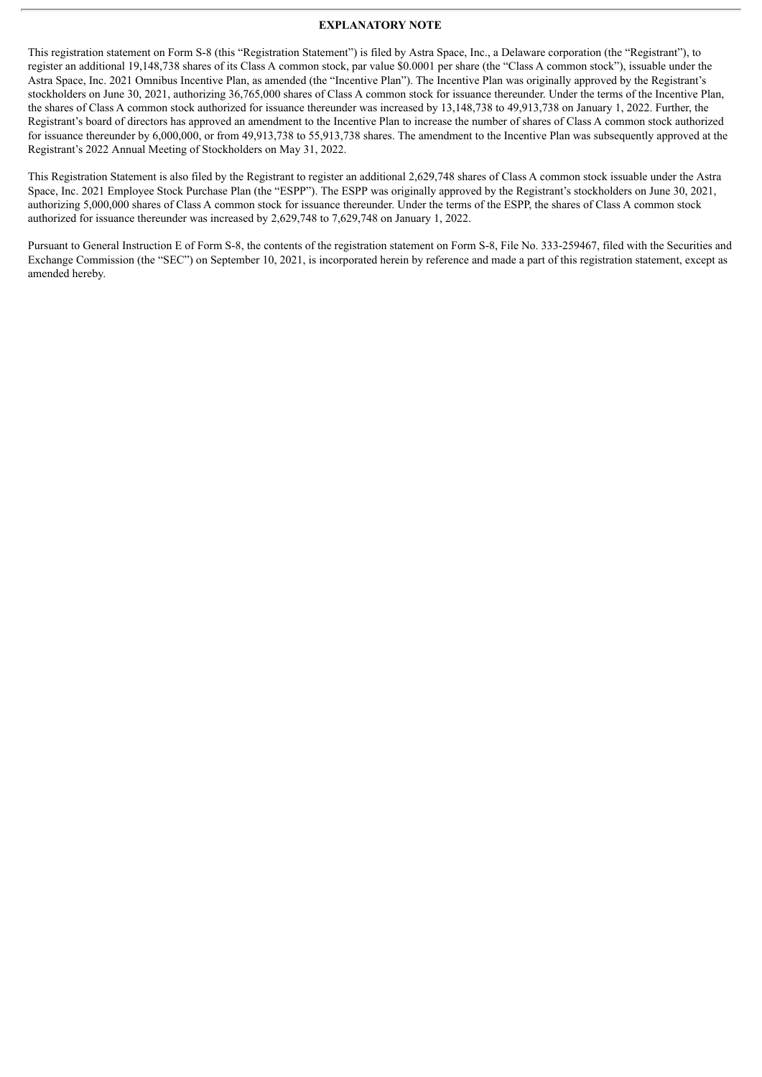## **EXPLANATORY NOTE**

This registration statement on Form S-8 (this "Registration Statement") is filed by Astra Space, Inc., a Delaware corporation (the "Registrant"), to register an additional 19,148,738 shares of its Class A common stock, par value \$0.0001 per share (the "Class A common stock"), issuable under the Astra Space, Inc. 2021 Omnibus Incentive Plan, as amended (the "Incentive Plan"). The Incentive Plan was originally approved by the Registrant's stockholders on June 30, 2021, authorizing 36,765,000 shares of Class A common stock for issuance thereunder. Under the terms of the Incentive Plan, the shares of Class A common stock authorized for issuance thereunder was increased by 13,148,738 to 49,913,738 on January 1, 2022. Further, the Registrant's board of directors has approved an amendment to the Incentive Plan to increase the number of shares of Class A common stock authorized for issuance thereunder by 6,000,000, or from 49,913,738 to 55,913,738 shares. The amendment to the Incentive Plan was subsequently approved at the Registrant's 2022 Annual Meeting of Stockholders on May 31, 2022.

This Registration Statement is also filed by the Registrant to register an additional 2,629,748 shares of Class A common stock issuable under the Astra Space, Inc. 2021 Employee Stock Purchase Plan (the "ESPP"). The ESPP was originally approved by the Registrant's stockholders on June 30, 2021, authorizing 5,000,000 shares of Class A common stock for issuance thereunder. Under the terms of the ESPP, the shares of Class A common stock authorized for issuance thereunder was increased by 2,629,748 to 7,629,748 on January 1, 2022.

Pursuant to General Instruction E of Form S-8, the contents of the registration statement on Form S-8, File No. 333-259467, filed with the Securities and Exchange Commission (the "SEC") on September 10, 2021, is incorporated herein by reference and made a part of this registration statement, except as amended hereby.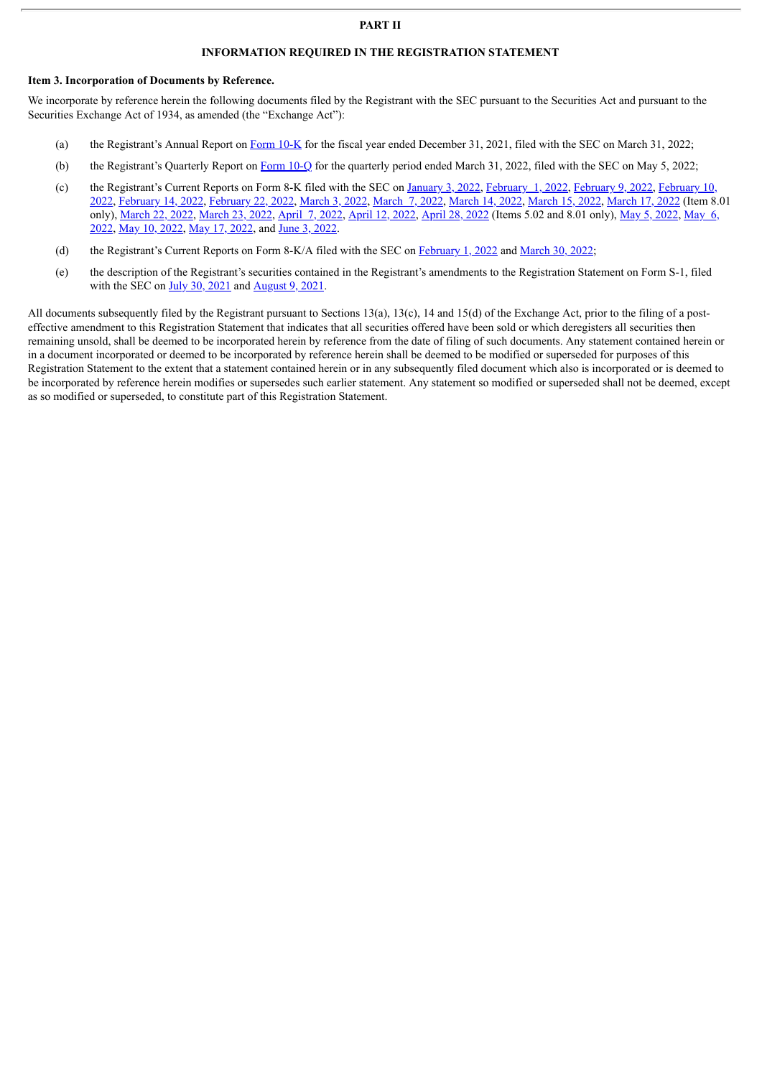## **PART II**

## **INFORMATION REQUIRED IN THE REGISTRATION STATEMENT**

#### **Item 3. Incorporation of Documents by Reference.**

We incorporate by reference herein the following documents filed by the Registrant with the SEC pursuant to the Securities Act and pursuant to the Securities Exchange Act of 1934, as amended (the "Exchange Act"):

- (a) the Registrant's Annual Report on [Form](http://www.sec.gov/Archives/edgar/data/1814329/000095017022005246/astr-20211231.htm) 10-K for the fiscal year ended December 31, 2021, filed with the SEC on March 31, 2022;
- (b) the Registrant's Quarterly Report on [Form](http://www.sec.gov/Archives/edgar/data/1814329/000095017022007882/astr-20220331.htm) 10-Q for the quarterly period ended March 31, 2022, filed with the SEC on May 5, 2022;
- (c) the [Registrant's](http://www.sec.gov/Archives/edgar/data/1814329/000095017022001089/astr-20220209.htm) Current Reports on Form 8-K filed with the SEC on [January](http://www.sec.gov/Archives/edgar/data/1814329/000095017022000015/astr-20220103.htm) 3, 2022, [February](http://www.sec.gov/Archives/edgar/data/1814329/000095017022000970/astr-20220205.htm) 1, 2022, February 9, 2022, February 10, 2022, [February](http://www.sec.gov/Archives/edgar/data/1814329/000095017022001208/astr-20220210.htm) 14, 2022, [February](http://www.sec.gov/Archives/edgar/data/1814329/000095017022001550/astr-20220222.htm) 22, 2022, [March](http://www.sec.gov/Archives/edgar/data/1814329/000095017022002798/astr-20220303.htm) 3, 2022, [March](http://www.sec.gov/Archives/edgar/data/1814329/000095017022002965/astr-20220307.htm) 7, 2022, [March](http://www.sec.gov/Archives/edgar/data/1814329/000095017022003514/astr-20220314.htm) 14, 2022, [March](http://www.sec.gov/Archives/edgar/data/1814329/000095017022003773/astr-20220314.htm) 15, 2022, [March](http://www.sec.gov/Archives/edgar/data/1814329/000095017022004081/astr-20220317.htm) 17, 2022 (Item 8.01 only), [M](http://www.sec.gov/Archives/edgar/data/1814329/000095017022008021/astr-20220506.htm)[arch](http://www.sec.gov/Archives/edgar/data/1814329/000095017022004298/astr-20220315.htm) 22, 2022, [March](http://www.sec.gov/Archives/edgar/data/1814329/000095017022004403/astr-20220318.htm) 23, 2022, [April](http://www.sec.gov/Archives/edgar/data/1814329/000095017022005427/astr-20220407.htm) 7, 2022, [April](http://www.sec.gov/Archives/edgar/data/1814329/000095017022005599/astr-20220412.htm) 12, 2022, [April](http://www.sec.gov/Archives/edgar/data/1814329/000095017022006710/astr-20220422.htm) 28, 2022 (Items 5.02 and 8.01 only), May 5, [2022](http://www.sec.gov/Archives/edgar/data/1814329/000095017022007593/astr-20220505.htm), May 6, [2022](http://www.sec.gov/Archives/edgar/data/1814329/000095017022011155/astr-20220601.htm), May 10, [2022,](http://www.sec.gov/Archives/edgar/data/1814329/000095017022010182/astr-20220512.htm) May 17, 2022, and June 3, 2022.
- (d) the Registrant's Current Reports on Form 8-K/A filed with the SEC on [February](http://www.sec.gov/Archives/edgar/data/1814329/000095017022000639/astr-20220201.htm) 1, 2022 and [March](http://www.sec.gov/Archives/edgar/data/1814329/000095017022005042/astr-20220315.htm) 30, 2022;
- (e) the description of the Registrant's securities contained in the Registrant's amendments to the Registration Statement on Form S-1, filed with the SEC on  $\underline{July 30, 2021}$  $\underline{July 30, 2021}$  $\underline{July 30, 2021}$  $\underline{July 30, 2021}$  $\underline{July 30, 2021}$  and  $\underline{August 9, 2021}$  $\underline{August 9, 2021}$  $\underline{August 9, 2021}$ .

All documents subsequently filed by the Registrant pursuant to Sections 13(a), 13(c), 14 and 15(d) of the Exchange Act, prior to the filing of a posteffective amendment to this Registration Statement that indicates that all securities offered have been sold or which deregisters all securities then remaining unsold, shall be deemed to be incorporated herein by reference from the date of filing of such documents. Any statement contained herein or in a document incorporated or deemed to be incorporated by reference herein shall be deemed to be modified or superseded for purposes of this Registration Statement to the extent that a statement contained herein or in any subsequently filed document which also is incorporated or is deemed to be incorporated by reference herein modifies or supersedes such earlier statement. Any statement so modified or superseded shall not be deemed, except as so modified or superseded, to constitute part of this Registration Statement.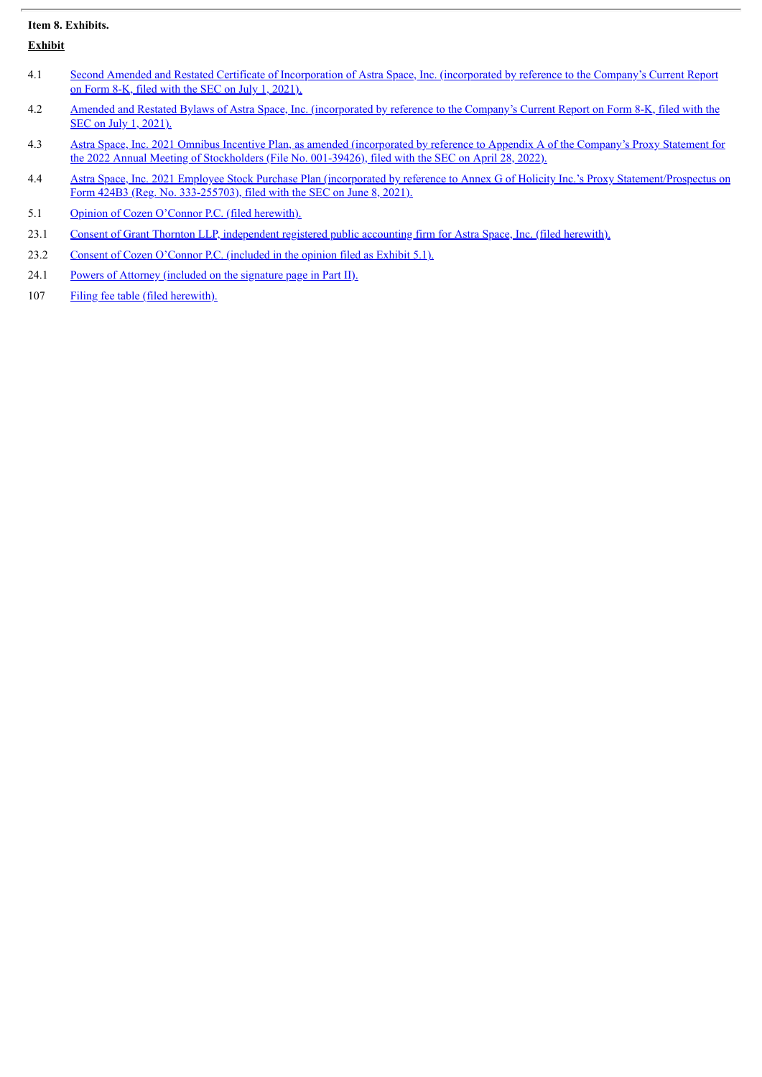## **Item 8. Exhibits.**

**Exhibit**

- 4.1 Second Amended and Restated Certificate of [Incorporation](http://www.sec.gov/Archives/edgar/data/1814329/000119312521205288/d196589dex31.htm) of Astra Space, Inc. (incorporated by reference to the Company's Current Report on Form 8-K, filed with the SEC on July 1, 2021).
- 4.2 Amended and Restated Bylaws of Astra Space, Inc. [\(incorporated](http://www.sec.gov/Archives/edgar/data/1814329/000119312521205288/d196589dex32.htm) by reference to the Company's Current Report on Form 8-K, filed with the SEC on July 1, 2021).
- 4.3 Astra Space, Inc. 2021 Omnibus Incentive Plan, as amended [\(incorporated](http://www.sec.gov/Archives/edgar/data/0001814329/000114036122016558/ny20003867x1_def14a.htm#tAPPA) by reference to Appendix A of the Company's Proxy Statement for the 2022 Annual Meeting of Stockholders (File No. 001-39426), filed with the SEC on April 28, 2022).
- 4.4 Astra Space, Inc. 2021 Employee Stock Purchase Plan (incorporated by reference to Annex G of Holicity Inc.'s Proxy [Statement/Prospectus](http://www.sec.gov/Archives/edgar/data/1814329/000121390021031300/f424b30621_holicityinc.htm#TOC001) on Form 424B3 (Reg. No. 333-255703), filed with the SEC on June 8, 2021).
- 5.1 Opinion of Cozen O'Connor P.C. (filed [herewith\).](#page-5-0)
- 23.1 Consent of Grant Thornton LLP, [independent](#page-7-0) registered public accounting firm for Astra Space, Inc. (filed herewith).
- 23.2 Consent of Cozen [O'Connor](#page-5-0) P.C. (included in the opinion filed as Exhibit 5.1).
- 24.1 Powers of Attorney [\(included](#page-4-0) on the signature page in Part II).
- 107 Filing fee table (filed [herewith\).](#page-8-0)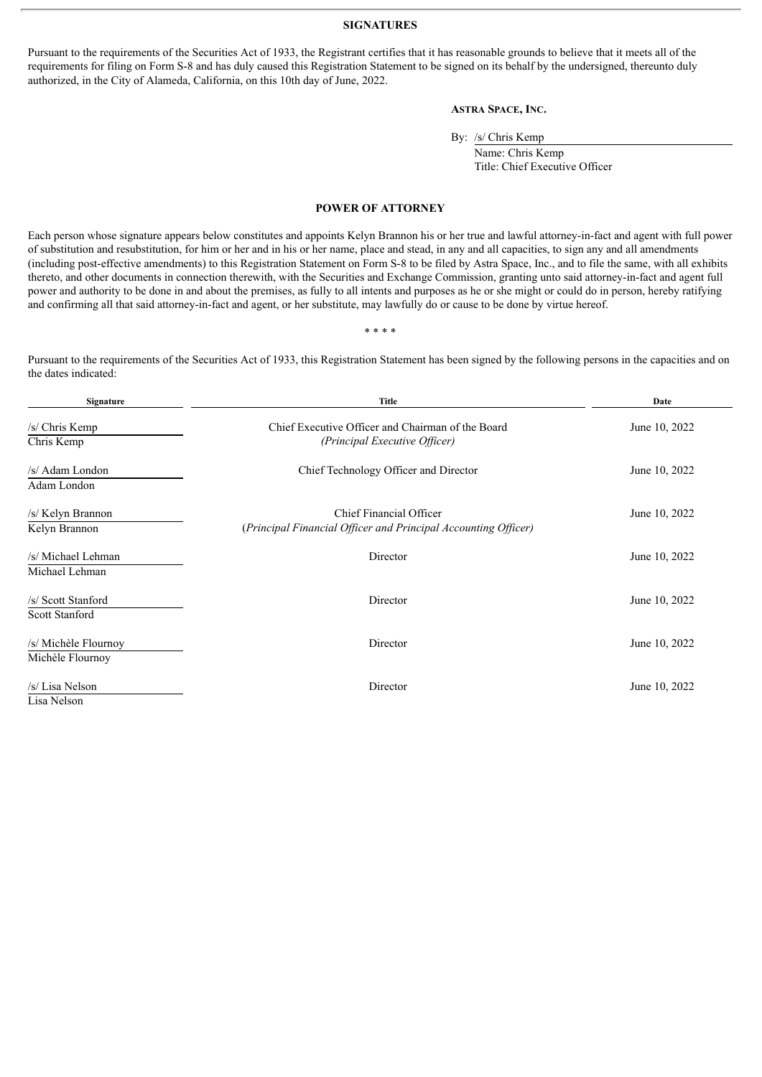#### **SIGNATURES**

<span id="page-4-0"></span>Pursuant to the requirements of the Securities Act of 1933, the Registrant certifies that it has reasonable grounds to believe that it meets all of the requirements for filing on Form S-8 and has duly caused this Registration Statement to be signed on its behalf by the undersigned, thereunto duly authorized, in the City of Alameda, California, on this 10th day of June, 2022.

## **ASTRA SPACE, INC.**

By: /s/ Chris Kemp

Name: Chris Kemp Title: Chief Executive Officer

#### **POWER OF ATTORNEY**

Each person whose signature appears below constitutes and appoints Kelyn Brannon his or her true and lawful attorney-in-fact and agent with full power of substitution and resubstitution, for him or her and in his or her name, place and stead, in any and all capacities, to sign any and all amendments (including post-effective amendments) to this Registration Statement on Form S-8 to be filed by Astra Space, Inc., and to file the same, with all exhibits thereto, and other documents in connection therewith, with the Securities and Exchange Commission, granting unto said attorney-in-fact and agent full power and authority to be done in and about the premises, as fully to all intents and purposes as he or she might or could do in person, hereby ratifying and confirming all that said attorney-in-fact and agent, or her substitute, may lawfully do or cause to be done by virtue hereof.

\* \* \* \*

Pursuant to the requirements of the Securities Act of 1933, this Registration Statement has been signed by the following persons in the capacities and on the dates indicated:

| Signature                                   | <b>Title</b>                                                                              | Date          |  |  |
|---------------------------------------------|-------------------------------------------------------------------------------------------|---------------|--|--|
| /s/ Chris Kemp<br>Chris Kemp                | Chief Executive Officer and Chairman of the Board<br>(Principal Executive Officer)        | June 10, 2022 |  |  |
| /s/ Adam London<br>Adam London              | Chief Technology Officer and Director                                                     | June 10, 2022 |  |  |
| /s/ Kelyn Brannon<br>Kelyn Brannon          | Chief Financial Officer<br>(Principal Financial Officer and Principal Accounting Officer) | June 10, 2022 |  |  |
| /s/ Michael Lehman<br>Michael Lehman        | Director                                                                                  | June 10, 2022 |  |  |
| /s/ Scott Stanford<br><b>Scott Stanford</b> | Director                                                                                  | June 10, 2022 |  |  |
| /s/ Michèle Flournoy<br>Michèle Flournoy    | Director                                                                                  | June 10, 2022 |  |  |
| /s/ Lisa Nelson<br>Lisa Nelson              | Director                                                                                  | June 10, 2022 |  |  |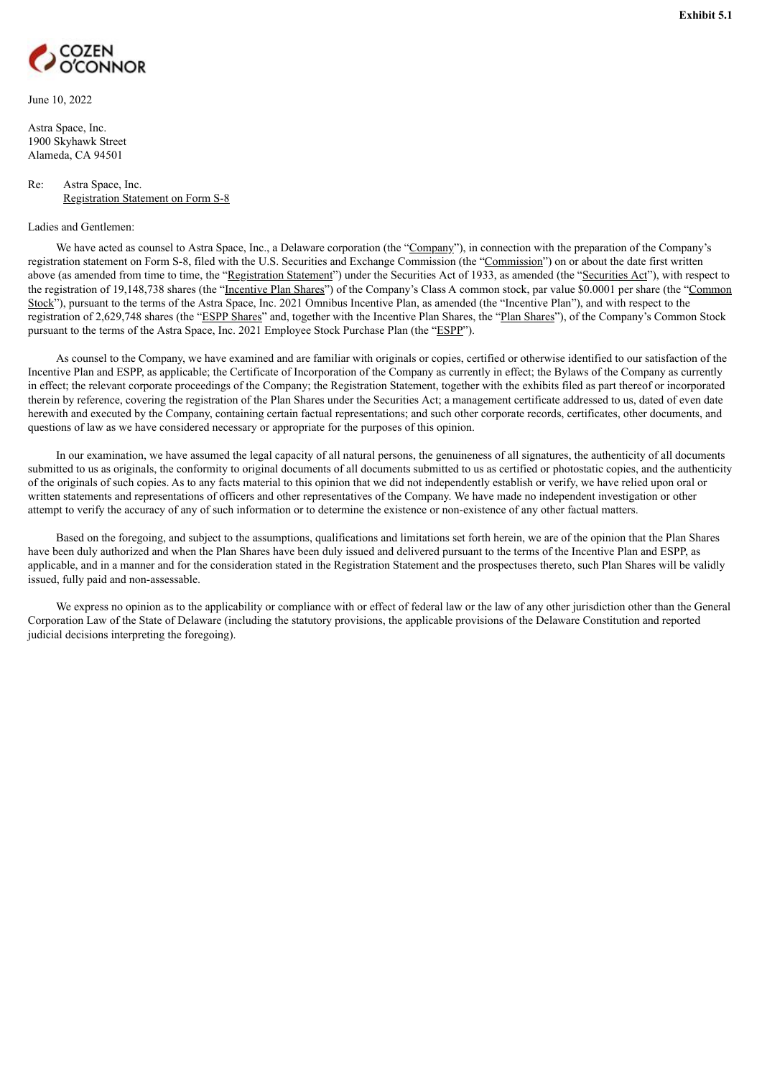<span id="page-5-0"></span>

June 10, 2022

Astra Space, Inc. 1900 Skyhawk Street Alameda, CA 94501

### Re: Astra Space, Inc. Registration Statement on Form S-8

#### Ladies and Gentlemen:

We have acted as counsel to Astra Space, Inc., a Delaware corporation (the "Company"), in connection with the preparation of the Company's registration statement on Form S-8, filed with the U.S. Securities and Exchange Commission (the "Commission") on or about the date first written above (as amended from time to time, the "Registration Statement") under the Securities Act of 1933, as amended (the "Securities Act"), with respect to the registration of 19,148,738 shares (the "Incentive Plan Shares") of the Company's Class A common stock, par value \$0.0001 per share (the "Common Stock"), pursuant to the terms of the Astra Space, Inc. 2021 Omnibus Incentive Plan, as amended (the "Incentive Plan"), and with respect to the registration of 2,629,748 shares (the "ESPP Shares" and, together with the Incentive Plan Shares, the "Plan Shares"), of the Company's Common Stock pursuant to the terms of the Astra Space, Inc. 2021 Employee Stock Purchase Plan (the "ESPP").

As counsel to the Company, we have examined and are familiar with originals or copies, certified or otherwise identified to our satisfaction of the Incentive Plan and ESPP, as applicable; the Certificate of Incorporation of the Company as currently in effect; the Bylaws of the Company as currently in effect; the relevant corporate proceedings of the Company; the Registration Statement, together with the exhibits filed as part thereof or incorporated therein by reference, covering the registration of the Plan Shares under the Securities Act; a management certificate addressed to us, dated of even date herewith and executed by the Company, containing certain factual representations; and such other corporate records, certificates, other documents, and questions of law as we have considered necessary or appropriate for the purposes of this opinion.

In our examination, we have assumed the legal capacity of all natural persons, the genuineness of all signatures, the authenticity of all documents submitted to us as originals, the conformity to original documents of all documents submitted to us as certified or photostatic copies, and the authenticity of the originals of such copies. As to any facts material to this opinion that we did not independently establish or verify, we have relied upon oral or written statements and representations of officers and other representatives of the Company. We have made no independent investigation or other attempt to verify the accuracy of any of such information or to determine the existence or non-existence of any other factual matters.

Based on the foregoing, and subject to the assumptions, qualifications and limitations set forth herein, we are of the opinion that the Plan Shares have been duly authorized and when the Plan Shares have been duly issued and delivered pursuant to the terms of the Incentive Plan and ESPP, as applicable, and in a manner and for the consideration stated in the Registration Statement and the prospectuses thereto, such Plan Shares will be validly issued, fully paid and non-assessable.

We express no opinion as to the applicability or compliance with or effect of federal law or the law of any other jurisdiction other than the General Corporation Law of the State of Delaware (including the statutory provisions, the applicable provisions of the Delaware Constitution and reported judicial decisions interpreting the foregoing).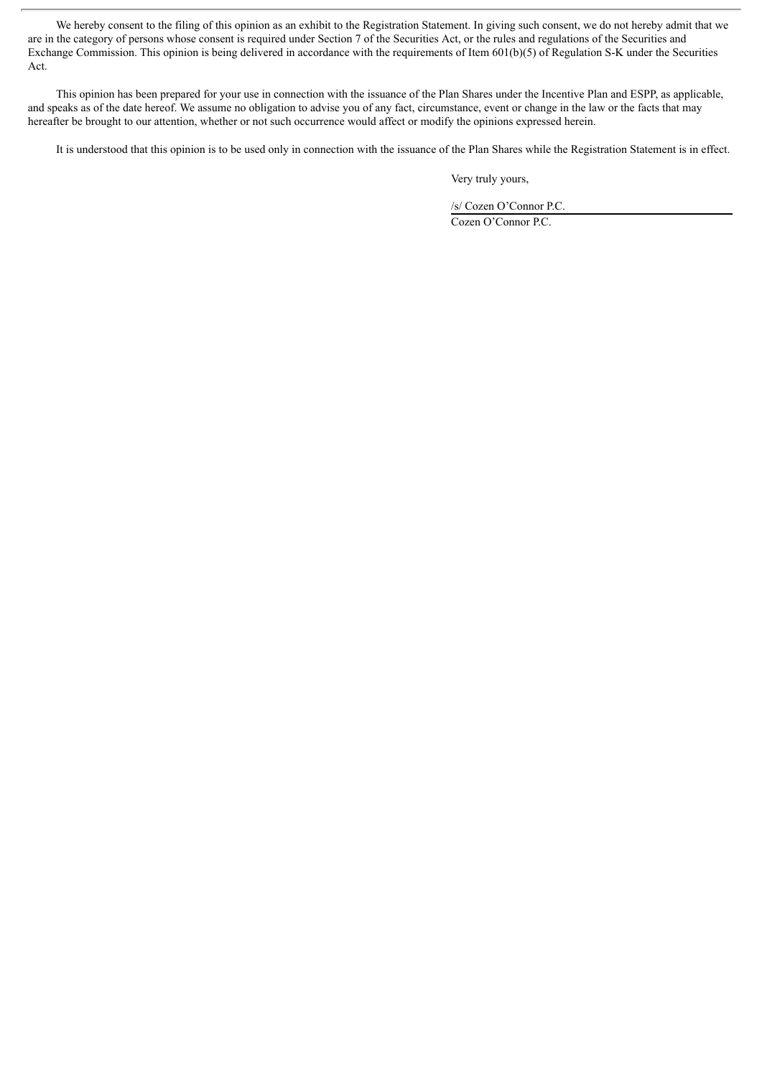We hereby consent to the filing of this opinion as an exhibit to the Registration Statement. In giving such consent, we do not hereby admit that we are in the category of persons whose consent is required under Section 7 of the Securities Act, or the rules and regulations of the Securities and Exchange Commission. This opinion is being delivered in accordance with the requirements of Item 601(b)(5) of Regulation S-K under the Securities Act.

This opinion has been prepared for your use in connection with the issuance of the Plan Shares under the Incentive Plan and ESPP, as applicable, and speaks as of the date hereof. We assume no obligation to advise you of any fact, circumstance, event or change in the law or the facts that may hereafter be brought to our attention, whether or not such occurrence would affect or modify the opinions expressed herein.

It is understood that this opinion is to be used only in connection with the issuance of the Plan Shares while the Registration Statement is in effect.

Very truly yours,

/s/ Cozen O'Connor P.C.

Cozen O'Connor P.C.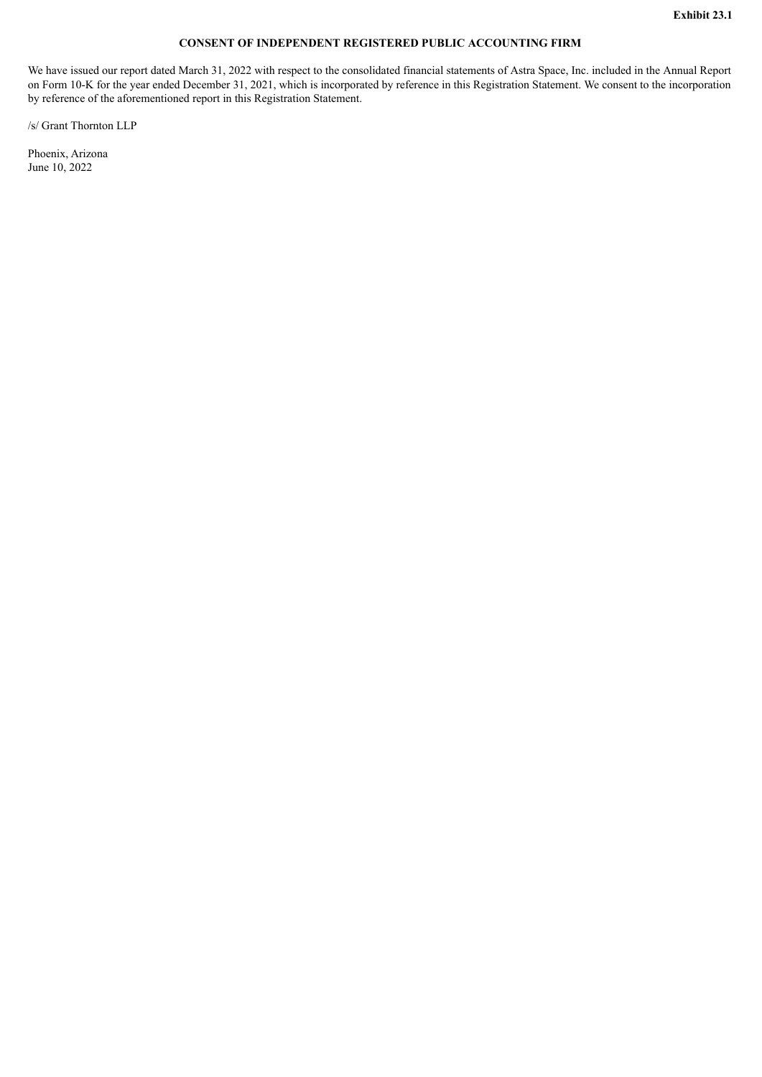## **CONSENT OF INDEPENDENT REGISTERED PUBLIC ACCOUNTING FIRM**

<span id="page-7-0"></span>We have issued our report dated March 31, 2022 with respect to the consolidated financial statements of Astra Space, Inc. included in the Annual Report on Form 10-K for the year ended December 31, 2021, which is incorporated by reference in this Registration Statement. We consent to the incorporation by reference of the aforementioned report in this Registration Statement.

/s/ Grant Thornton LLP

Phoenix, Arizona June 10, 2022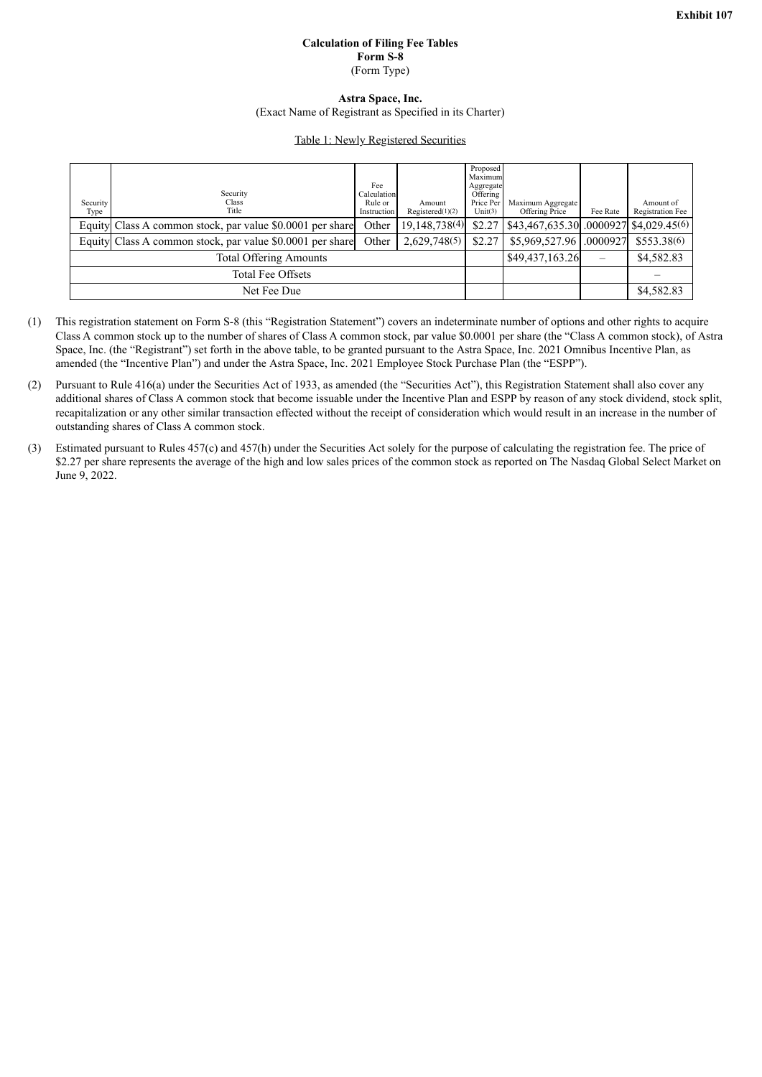## **Calculation of Filing Fee Tables Form S-8** (Form Type)

## **Astra Space, Inc.**

(Exact Name of Registrant as Specified in its Charter)

## Table 1: Newly Registered Securities

<span id="page-8-0"></span>

| Security<br>Type              | Security<br>Class.<br>Title                               | Fee<br>Calculation<br>Rule or<br>Instruction | Amount<br>Required(1)(2) | Proposed<br>Maximum<br>Aggregate<br>Offering<br>Price Per<br>Unit(3) | Maximum Aggregate<br>Offering Price     | Fee Rate | Amount of<br>Registration Fee |
|-------------------------------|-----------------------------------------------------------|----------------------------------------------|--------------------------|----------------------------------------------------------------------|-----------------------------------------|----------|-------------------------------|
|                               | Equity Class A common stock, par value \$0,0001 per share | Other                                        | 19, 148, 738(4)          | \$2.27                                                               | $$43,467,635.30$ .0000927 \$4,029.45(6) |          |                               |
|                               | Equity Class A common stock, par value \$0.0001 per share | Other                                        | 2,629,748(5)             | \$2.27                                                               | \$5,969,527.96 .0000927                 |          | \$553.38(6)                   |
| <b>Total Offering Amounts</b> |                                                           |                                              |                          |                                                                      | \$49,437,163.26                         |          | \$4,582.83                    |
| Total Fee Offsets             |                                                           |                                              |                          |                                                                      |                                         |          |                               |
| Net Fee Due                   |                                                           |                                              |                          |                                                                      |                                         |          | \$4,582.83                    |

- (1) This registration statement on Form S-8 (this "Registration Statement") covers an indeterminate number of options and other rights to acquire Class A common stock up to the number of shares of Class A common stock, par value \$0.0001 per share (the "Class A common stock), of Astra Space, Inc. (the "Registrant") set forth in the above table, to be granted pursuant to the Astra Space, Inc. 2021 Omnibus Incentive Plan, as amended (the "Incentive Plan") and under the Astra Space, Inc. 2021 Employee Stock Purchase Plan (the "ESPP").
- (2) Pursuant to Rule 416(a) under the Securities Act of 1933, as amended (the "Securities Act"), this Registration Statement shall also cover any additional shares of Class A common stock that become issuable under the Incentive Plan and ESPP by reason of any stock dividend, stock split, recapitalization or any other similar transaction effected without the receipt of consideration which would result in an increase in the number of outstanding shares of Class A common stock.
- (3) Estimated pursuant to Rules 457(c) and 457(h) under the Securities Act solely for the purpose of calculating the registration fee. The price of \$2.27 per share represents the average of the high and low sales prices of the common stock as reported on The Nasdaq Global Select Market on June 9, 2022.